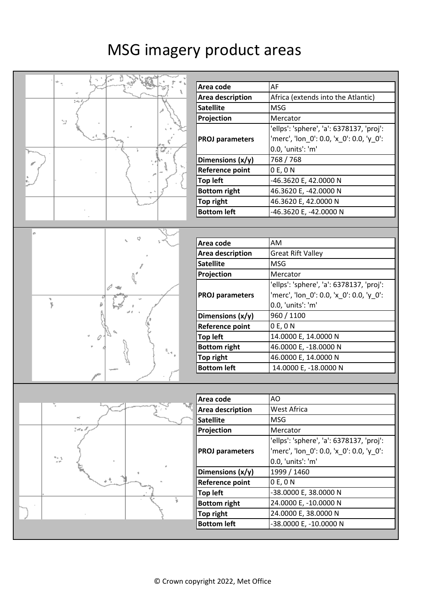## MSG imagery product areas

| AF<br>Area code<br>Africa (extends into the Atlantic)<br>Area description<br>14<br><b>Satellite</b><br><b>MSG</b><br>Mercator<br>Projection<br>53<br>'ellps': 'sphere', 'a': 6378137, 'proj':<br>'merc', 'lon_0': 0.0, 'x_0': 0.0, 'y_0':<br><b>PROJ parameters</b><br>0.0, 'units': 'm'<br>768 / 768<br>Dimensions (x/y)<br><b>Reference point</b><br>0 E, 0 N<br><b>Top left</b><br>-46.3620 E, 42.0000 N<br><b>Bottom right</b><br>46.3620 E, -42.0000 N<br>Top right<br>46.3620 E, 42.0000 N<br><b>Bottom left</b><br>-46.3620 E, -42.0000 N<br>£.<br>Area code<br>AM<br><b>Great Rift Valley</b><br>Area description<br><b>MSG</b><br><b>Satellite</b><br>Projection<br>Mercator<br>'ellps': 'sphere', 'a': 6378137, 'proj':<br>'merc', 'lon_0': 0.0, 'x_0': 0.0, 'y_0':<br><b>PROJ parameters</b><br>ţ<br>0.0, 'units': 'm'<br>960 / 1100<br>Dimensions (x/y)<br><b>Reference point</b><br>0 E, 0 N<br><b>Top left</b><br>14.0000 E, 14.0000 N<br>46.0000 E, -18.0000 N<br><b>Bottom right</b><br>46.0000 E, 14.0000 N<br><b>Top right</b><br><b>Bottom left</b><br>14.0000 E, -18.0000 N<br>AO<br>Area code<br>Area description<br>West Africa<br><b>Satellite</b><br><b>MSG</b><br>tora d<br>Projection<br>Mercator<br>'ellps': 'sphere', 'a': 6378137, 'proj':<br>'merc', 'lon_0': 0.0, 'x_0': 0.0, 'y_0':<br><b>PROJ parameters</b><br>94 L<br>0.0, 'units': 'm'<br>1999 / 1460<br>Dimensions (x/y)<br>0 E, 0 N<br><b>Reference point</b><br><b>Top left</b><br>-38.0000 E, 38.0000 N<br><b>Bottom right</b><br>24.0000 E, -10.0000 N<br>24.0000 E, 38.0000 N<br><b>Top right</b><br><b>Bottom left</b><br>-38.0000 E, -10.0000 N |  |  |
|---------------------------------------------------------------------------------------------------------------------------------------------------------------------------------------------------------------------------------------------------------------------------------------------------------------------------------------------------------------------------------------------------------------------------------------------------------------------------------------------------------------------------------------------------------------------------------------------------------------------------------------------------------------------------------------------------------------------------------------------------------------------------------------------------------------------------------------------------------------------------------------------------------------------------------------------------------------------------------------------------------------------------------------------------------------------------------------------------------------------------------------------------------------------------------------------------------------------------------------------------------------------------------------------------------------------------------------------------------------------------------------------------------------------------------------------------------------------------------------------------------------------------------------------------------------------------------------------------------------------------------------------|--|--|
|                                                                                                                                                                                                                                                                                                                                                                                                                                                                                                                                                                                                                                                                                                                                                                                                                                                                                                                                                                                                                                                                                                                                                                                                                                                                                                                                                                                                                                                                                                                                                                                                                                             |  |  |
|                                                                                                                                                                                                                                                                                                                                                                                                                                                                                                                                                                                                                                                                                                                                                                                                                                                                                                                                                                                                                                                                                                                                                                                                                                                                                                                                                                                                                                                                                                                                                                                                                                             |  |  |
|                                                                                                                                                                                                                                                                                                                                                                                                                                                                                                                                                                                                                                                                                                                                                                                                                                                                                                                                                                                                                                                                                                                                                                                                                                                                                                                                                                                                                                                                                                                                                                                                                                             |  |  |
|                                                                                                                                                                                                                                                                                                                                                                                                                                                                                                                                                                                                                                                                                                                                                                                                                                                                                                                                                                                                                                                                                                                                                                                                                                                                                                                                                                                                                                                                                                                                                                                                                                             |  |  |
|                                                                                                                                                                                                                                                                                                                                                                                                                                                                                                                                                                                                                                                                                                                                                                                                                                                                                                                                                                                                                                                                                                                                                                                                                                                                                                                                                                                                                                                                                                                                                                                                                                             |  |  |
|                                                                                                                                                                                                                                                                                                                                                                                                                                                                                                                                                                                                                                                                                                                                                                                                                                                                                                                                                                                                                                                                                                                                                                                                                                                                                                                                                                                                                                                                                                                                                                                                                                             |  |  |
|                                                                                                                                                                                                                                                                                                                                                                                                                                                                                                                                                                                                                                                                                                                                                                                                                                                                                                                                                                                                                                                                                                                                                                                                                                                                                                                                                                                                                                                                                                                                                                                                                                             |  |  |
|                                                                                                                                                                                                                                                                                                                                                                                                                                                                                                                                                                                                                                                                                                                                                                                                                                                                                                                                                                                                                                                                                                                                                                                                                                                                                                                                                                                                                                                                                                                                                                                                                                             |  |  |
|                                                                                                                                                                                                                                                                                                                                                                                                                                                                                                                                                                                                                                                                                                                                                                                                                                                                                                                                                                                                                                                                                                                                                                                                                                                                                                                                                                                                                                                                                                                                                                                                                                             |  |  |
|                                                                                                                                                                                                                                                                                                                                                                                                                                                                                                                                                                                                                                                                                                                                                                                                                                                                                                                                                                                                                                                                                                                                                                                                                                                                                                                                                                                                                                                                                                                                                                                                                                             |  |  |
|                                                                                                                                                                                                                                                                                                                                                                                                                                                                                                                                                                                                                                                                                                                                                                                                                                                                                                                                                                                                                                                                                                                                                                                                                                                                                                                                                                                                                                                                                                                                                                                                                                             |  |  |
|                                                                                                                                                                                                                                                                                                                                                                                                                                                                                                                                                                                                                                                                                                                                                                                                                                                                                                                                                                                                                                                                                                                                                                                                                                                                                                                                                                                                                                                                                                                                                                                                                                             |  |  |
|                                                                                                                                                                                                                                                                                                                                                                                                                                                                                                                                                                                                                                                                                                                                                                                                                                                                                                                                                                                                                                                                                                                                                                                                                                                                                                                                                                                                                                                                                                                                                                                                                                             |  |  |
|                                                                                                                                                                                                                                                                                                                                                                                                                                                                                                                                                                                                                                                                                                                                                                                                                                                                                                                                                                                                                                                                                                                                                                                                                                                                                                                                                                                                                                                                                                                                                                                                                                             |  |  |
|                                                                                                                                                                                                                                                                                                                                                                                                                                                                                                                                                                                                                                                                                                                                                                                                                                                                                                                                                                                                                                                                                                                                                                                                                                                                                                                                                                                                                                                                                                                                                                                                                                             |  |  |
|                                                                                                                                                                                                                                                                                                                                                                                                                                                                                                                                                                                                                                                                                                                                                                                                                                                                                                                                                                                                                                                                                                                                                                                                                                                                                                                                                                                                                                                                                                                                                                                                                                             |  |  |
|                                                                                                                                                                                                                                                                                                                                                                                                                                                                                                                                                                                                                                                                                                                                                                                                                                                                                                                                                                                                                                                                                                                                                                                                                                                                                                                                                                                                                                                                                                                                                                                                                                             |  |  |
|                                                                                                                                                                                                                                                                                                                                                                                                                                                                                                                                                                                                                                                                                                                                                                                                                                                                                                                                                                                                                                                                                                                                                                                                                                                                                                                                                                                                                                                                                                                                                                                                                                             |  |  |
|                                                                                                                                                                                                                                                                                                                                                                                                                                                                                                                                                                                                                                                                                                                                                                                                                                                                                                                                                                                                                                                                                                                                                                                                                                                                                                                                                                                                                                                                                                                                                                                                                                             |  |  |
|                                                                                                                                                                                                                                                                                                                                                                                                                                                                                                                                                                                                                                                                                                                                                                                                                                                                                                                                                                                                                                                                                                                                                                                                                                                                                                                                                                                                                                                                                                                                                                                                                                             |  |  |
|                                                                                                                                                                                                                                                                                                                                                                                                                                                                                                                                                                                                                                                                                                                                                                                                                                                                                                                                                                                                                                                                                                                                                                                                                                                                                                                                                                                                                                                                                                                                                                                                                                             |  |  |
|                                                                                                                                                                                                                                                                                                                                                                                                                                                                                                                                                                                                                                                                                                                                                                                                                                                                                                                                                                                                                                                                                                                                                                                                                                                                                                                                                                                                                                                                                                                                                                                                                                             |  |  |
|                                                                                                                                                                                                                                                                                                                                                                                                                                                                                                                                                                                                                                                                                                                                                                                                                                                                                                                                                                                                                                                                                                                                                                                                                                                                                                                                                                                                                                                                                                                                                                                                                                             |  |  |
|                                                                                                                                                                                                                                                                                                                                                                                                                                                                                                                                                                                                                                                                                                                                                                                                                                                                                                                                                                                                                                                                                                                                                                                                                                                                                                                                                                                                                                                                                                                                                                                                                                             |  |  |
|                                                                                                                                                                                                                                                                                                                                                                                                                                                                                                                                                                                                                                                                                                                                                                                                                                                                                                                                                                                                                                                                                                                                                                                                                                                                                                                                                                                                                                                                                                                                                                                                                                             |  |  |
|                                                                                                                                                                                                                                                                                                                                                                                                                                                                                                                                                                                                                                                                                                                                                                                                                                                                                                                                                                                                                                                                                                                                                                                                                                                                                                                                                                                                                                                                                                                                                                                                                                             |  |  |
|                                                                                                                                                                                                                                                                                                                                                                                                                                                                                                                                                                                                                                                                                                                                                                                                                                                                                                                                                                                                                                                                                                                                                                                                                                                                                                                                                                                                                                                                                                                                                                                                                                             |  |  |
|                                                                                                                                                                                                                                                                                                                                                                                                                                                                                                                                                                                                                                                                                                                                                                                                                                                                                                                                                                                                                                                                                                                                                                                                                                                                                                                                                                                                                                                                                                                                                                                                                                             |  |  |
|                                                                                                                                                                                                                                                                                                                                                                                                                                                                                                                                                                                                                                                                                                                                                                                                                                                                                                                                                                                                                                                                                                                                                                                                                                                                                                                                                                                                                                                                                                                                                                                                                                             |  |  |
|                                                                                                                                                                                                                                                                                                                                                                                                                                                                                                                                                                                                                                                                                                                                                                                                                                                                                                                                                                                                                                                                                                                                                                                                                                                                                                                                                                                                                                                                                                                                                                                                                                             |  |  |
|                                                                                                                                                                                                                                                                                                                                                                                                                                                                                                                                                                                                                                                                                                                                                                                                                                                                                                                                                                                                                                                                                                                                                                                                                                                                                                                                                                                                                                                                                                                                                                                                                                             |  |  |
|                                                                                                                                                                                                                                                                                                                                                                                                                                                                                                                                                                                                                                                                                                                                                                                                                                                                                                                                                                                                                                                                                                                                                                                                                                                                                                                                                                                                                                                                                                                                                                                                                                             |  |  |
|                                                                                                                                                                                                                                                                                                                                                                                                                                                                                                                                                                                                                                                                                                                                                                                                                                                                                                                                                                                                                                                                                                                                                                                                                                                                                                                                                                                                                                                                                                                                                                                                                                             |  |  |
|                                                                                                                                                                                                                                                                                                                                                                                                                                                                                                                                                                                                                                                                                                                                                                                                                                                                                                                                                                                                                                                                                                                                                                                                                                                                                                                                                                                                                                                                                                                                                                                                                                             |  |  |
|                                                                                                                                                                                                                                                                                                                                                                                                                                                                                                                                                                                                                                                                                                                                                                                                                                                                                                                                                                                                                                                                                                                                                                                                                                                                                                                                                                                                                                                                                                                                                                                                                                             |  |  |
|                                                                                                                                                                                                                                                                                                                                                                                                                                                                                                                                                                                                                                                                                                                                                                                                                                                                                                                                                                                                                                                                                                                                                                                                                                                                                                                                                                                                                                                                                                                                                                                                                                             |  |  |
|                                                                                                                                                                                                                                                                                                                                                                                                                                                                                                                                                                                                                                                                                                                                                                                                                                                                                                                                                                                                                                                                                                                                                                                                                                                                                                                                                                                                                                                                                                                                                                                                                                             |  |  |
|                                                                                                                                                                                                                                                                                                                                                                                                                                                                                                                                                                                                                                                                                                                                                                                                                                                                                                                                                                                                                                                                                                                                                                                                                                                                                                                                                                                                                                                                                                                                                                                                                                             |  |  |
|                                                                                                                                                                                                                                                                                                                                                                                                                                                                                                                                                                                                                                                                                                                                                                                                                                                                                                                                                                                                                                                                                                                                                                                                                                                                                                                                                                                                                                                                                                                                                                                                                                             |  |  |
|                                                                                                                                                                                                                                                                                                                                                                                                                                                                                                                                                                                                                                                                                                                                                                                                                                                                                                                                                                                                                                                                                                                                                                                                                                                                                                                                                                                                                                                                                                                                                                                                                                             |  |  |
|                                                                                                                                                                                                                                                                                                                                                                                                                                                                                                                                                                                                                                                                                                                                                                                                                                                                                                                                                                                                                                                                                                                                                                                                                                                                                                                                                                                                                                                                                                                                                                                                                                             |  |  |
|                                                                                                                                                                                                                                                                                                                                                                                                                                                                                                                                                                                                                                                                                                                                                                                                                                                                                                                                                                                                                                                                                                                                                                                                                                                                                                                                                                                                                                                                                                                                                                                                                                             |  |  |
|                                                                                                                                                                                                                                                                                                                                                                                                                                                                                                                                                                                                                                                                                                                                                                                                                                                                                                                                                                                                                                                                                                                                                                                                                                                                                                                                                                                                                                                                                                                                                                                                                                             |  |  |
|                                                                                                                                                                                                                                                                                                                                                                                                                                                                                                                                                                                                                                                                                                                                                                                                                                                                                                                                                                                                                                                                                                                                                                                                                                                                                                                                                                                                                                                                                                                                                                                                                                             |  |  |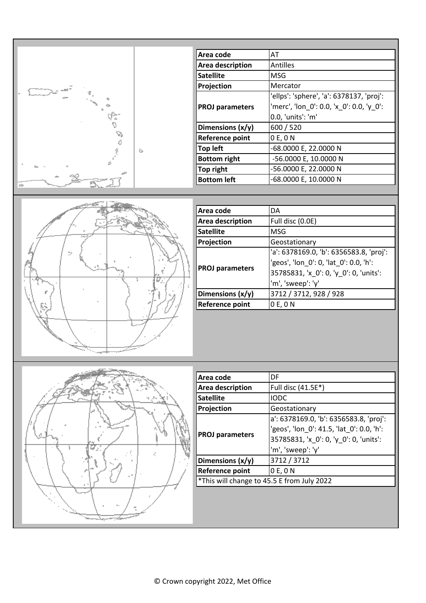|   |    | Area code               | AT                                       |
|---|----|-------------------------|------------------------------------------|
|   |    | <b>Area description</b> | <b>Antilles</b>                          |
|   |    | <b>Satellite</b>        | <b>MSG</b>                               |
|   |    | Projection              | Mercator                                 |
|   |    |                         | 'ellps': 'sphere', 'a': 6378137, 'proj': |
|   |    | <b>PROJ</b> parameters  | 'merc', 'lon_0': 0.0, 'x_0': 0.0, 'y_0': |
|   |    |                         | 0.0, 'units': 'm'                        |
|   |    | Dimensions (x/y)        | 600 / 520                                |
| D |    | <b>Reference point</b>  | 0 E, 0 N                                 |
|   | Ò, | <b>Top left</b>         | -68.0000 E, 22.0000 N                    |
|   |    | <b>Bottom right</b>     | -56.0000 E, 10.0000 N                    |
|   |    | Top right               | -56.0000 E, 22.0000 N                    |
|   |    | <b>Bottom left</b>      | -68.0000 E, 10.0000 N                    |
|   |    |                         |                                          |



| Area code              | DA                                                                                                                                               |
|------------------------|--------------------------------------------------------------------------------------------------------------------------------------------------|
| Area description       | Full disc (0.0E)                                                                                                                                 |
| <b>Satellite</b>       | <b>MSG</b>                                                                                                                                       |
| Projection             | Geostationary                                                                                                                                    |
| <b>PROJ</b> parameters | 'a': 6378169.0, 'b': 6356583.8, 'proj':<br>'geos', 'lon 0': 0, 'lat 0': 0.0, 'h':<br>35785831, 'x_0': 0, 'y_0': 0, 'units':<br>'m', 'sweep': 'y' |
| Dimensions (x/y)       | 3712 / 3712, 928 / 928                                                                                                                           |
| <b>Reference point</b> | 0 E, 0 N                                                                                                                                         |



| Area code                                  | DF                                                                                                                                                 |  |
|--------------------------------------------|----------------------------------------------------------------------------------------------------------------------------------------------------|--|
| Area description                           | Full disc (41.5E*)                                                                                                                                 |  |
| <b>Satellite</b>                           | <b>IODC</b>                                                                                                                                        |  |
| Projection                                 | Geostationary                                                                                                                                      |  |
| <b>PROJ parameters</b>                     | a': 6378169.0, 'b': 6356583.8, 'proj':<br>'geos', 'lon 0': 41.5, 'lat 0': 0.0, 'h':<br>35785831, 'x_0': 0, 'y_0': 0, 'units':<br>'m', 'sweep': 'y' |  |
| Dimensions (x/y)                           | 3712 / 3712                                                                                                                                        |  |
| Reference point                            | 0 E, 0 N                                                                                                                                           |  |
| *This will change to 45.5 E from July 2022 |                                                                                                                                                    |  |
|                                            |                                                                                                                                                    |  |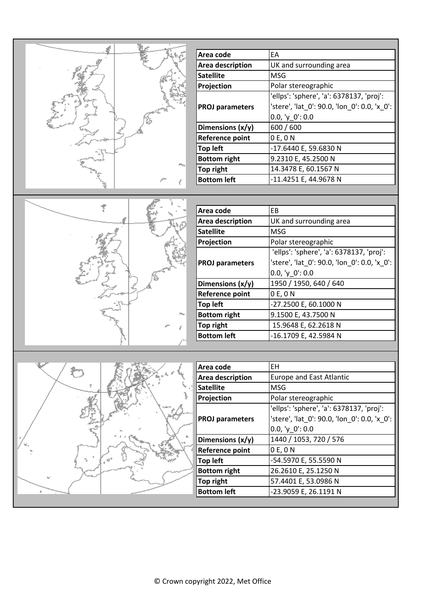

| Area code              | <b>FA</b>                                    |
|------------------------|----------------------------------------------|
| Area description       | UK and surrounding area                      |
| <b>Satellite</b>       | MSG                                          |
| Projection             | Polar stereographic                          |
|                        | 'ellps': 'sphere', 'a': 6378137, 'proj':     |
| <b>PROJ parameters</b> | 'stere', 'lat 0': 90.0, 'lon 0': 0.0, 'x 0': |
|                        | $0.0, 'y_0': 0.0$                            |
| Dimensions (x/y)       | 600 / 600                                    |
| Reference point        | 0 E, 0 N                                     |
| <b>Top left</b>        | -17.6440 E, 59.6830 N                        |
| <b>Bottom right</b>    | 9.2310 E, 45.2500 N                          |
| Top right              | 14.3478 E, 60.1567 N                         |
| <b>Bottom left</b>     | -11.4251 E, 44.9678 N                        |

| n, |
|----|

| Area code              | <b>FB</b>                                    |  |
|------------------------|----------------------------------------------|--|
| Area description       | UK and surrounding area                      |  |
| <b>Satellite</b>       | <b>MSG</b>                                   |  |
| Projection             | Polar stereographic                          |  |
|                        | 'ellps': 'sphere', 'a': 6378137, 'proj':     |  |
| <b>PROJ parameters</b> | 'stere', 'lat_0': 90.0, 'lon_0': 0.0, 'x_0': |  |
|                        | $0.0, 'y_0': 0.0$                            |  |
| Dimensions (x/y)       | 1950 / 1950, 640 / 640                       |  |
| <b>Reference point</b> | 0 E, 0 N                                     |  |
| <b>Top left</b>        | -27.2500 E, 60.1000 N                        |  |
| <b>Bottom right</b>    | 9.1500 E, 43.7500 N                          |  |
| Top right              | 15.9648 E, 62.2618 N                         |  |
| <b>Bottom left</b>     | -16.1709 E, 42.5984 N                        |  |



| Area code              | FН                                           |  |
|------------------------|----------------------------------------------|--|
| Area description       | <b>Europe and East Atlantic</b>              |  |
| <b>Satellite</b>       | MSG                                          |  |
| Projection             | Polar stereographic                          |  |
|                        | 'ellps': 'sphere', 'a': 6378137, 'proj':     |  |
| <b>PROJ</b> parameters | 'stere', 'lat_0': 90.0, 'lon_0': 0.0, 'x_0': |  |
|                        | 0.0, $y_0$ : 0.0                             |  |
| Dimensions (x/y)       | 1440 / 1053, 720 / 576                       |  |
| <b>Reference point</b> | 0 E, 0 N                                     |  |
| <b>Top left</b>        | -54.5970 E, 55.5590 N                        |  |
| <b>Bottom right</b>    | 26.2610 E, 25.1250 N                         |  |
| Top right              | 57.4401 E, 53.0986 N                         |  |
| <b>Bottom left</b>     | -23.9059 E, 26.1191 N                        |  |
|                        |                                              |  |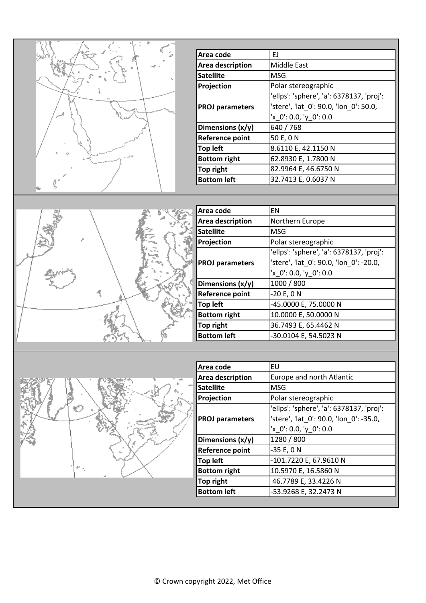

| Area code              | ΕJ                                       |
|------------------------|------------------------------------------|
| Area description       | Middle East                              |
| <b>Satellite</b>       | <b>MSG</b>                               |
| Projection             | Polar stereographic                      |
|                        | 'ellps': 'sphere', 'a': 6378137, 'proj': |
| <b>PROJ parameters</b> | 'stere', 'lat 0': 90.0, 'lon 0': 50.0,   |
|                        | $'x_0': 0.0, 'y_0': 0.0$                 |
| Dimensions $(x/y)$     | 640 / 768                                |
| <b>Reference point</b> | 50 E, 0 N                                |
| <b>Top left</b>        | 8.6110 E, 42.1150 N                      |
| <b>Bottom right</b>    | 62.8930 E, 1.7800 N                      |
| <b>Top right</b>       | 82.9964 E, 46.6750 N                     |
| <b>Bottom left</b>     | 32.7413 E, 0.6037 N                      |



| Area code              | <b>FN</b>                                |
|------------------------|------------------------------------------|
| Area description       | Northern Europe                          |
| <b>Satellite</b>       | <b>MSG</b>                               |
| Projection             | Polar stereographic                      |
|                        | 'ellps': 'sphere', 'a': 6378137, 'proj': |
| <b>PROJ parameters</b> | 'stere', 'lat_0': 90.0, 'lon_0': -20.0,  |
|                        | 'x_0': 0.0, 'y_0': 0.0                   |
| Dimensions (x/y)       | 1000 / 800                               |
| Reference point        | $-20 E, 0 N$                             |
| <b>Top left</b>        | -45.0000 E, 75.0000 N                    |
| <b>Bottom right</b>    | 10.0000 E, 50.0000 N                     |
| Top right              | 36.7493 E, 65.4462 N                     |
| <b>Bottom left</b>     | -30.0104 E, 54.5023 N                    |



| Area code              | EU                                       |
|------------------------|------------------------------------------|
| Area description       | Europe and north Atlantic                |
| <b>Satellite</b>       | <b>MSG</b>                               |
| Projection             | Polar stereographic                      |
|                        | 'ellps': 'sphere', 'a': 6378137, 'proj': |
| <b>PROJ parameters</b> | 'stere', 'lat_0': 90.0, 'lon_0': -35.0,  |
|                        | 'x_0': 0.0, 'y_0': 0.0                   |
| Dimensions $(x/y)$     | 1280 / 800                               |
| <b>Reference point</b> | $-35 E, 0 N$                             |
| <b>Top left</b>        | -101.7220 E, 67.9610 N                   |
| <b>Bottom right</b>    | 10.5970 E, 16.5860 N                     |
| <b>Top right</b>       | 46.7789 E, 33.4226 N                     |
| <b>Bottom left</b>     | -53.9268 E, 32.2473 N                    |
|                        |                                          |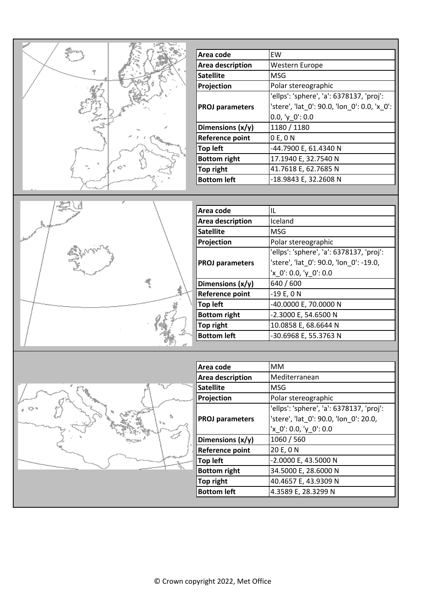| Area code              | EW                                           |
|------------------------|----------------------------------------------|
| Area description       | <b>Western Europe</b>                        |
| <b>Satellite</b>       | MSG                                          |
| Projection             | Polar stereographic                          |
|                        | 'ellps': 'sphere', 'a': 6378137, 'proj':     |
| <b>PROJ parameters</b> | 'stere', 'lat 0': 90.0, 'lon 0': 0.0, 'x 0': |
|                        | $0.0, 'y_0': 0.0$                            |
| Dimensions (x/y)       | 1180 / 1180                                  |
| <b>Reference point</b> | 0 E, 0 N                                     |
| <b>Top left</b>        | -44.7900 E, 61.4340 N                        |
| <b>Bottom right</b>    | 17.1940 E, 32.7540 N                         |
| <b>Top right</b>       | 41.7618 E, 62.7685 N                         |
| <b>Bottom left</b>     | -18.9843 E, 32.2608 N                        |



| Area code              | IL                                       |
|------------------------|------------------------------------------|
| Area description       | Iceland                                  |
| <b>Satellite</b>       | <b>MSG</b>                               |
| Projection             | Polar stereographic                      |
|                        | 'ellps': 'sphere', 'a': 6378137, 'proj': |
| <b>PROJ parameters</b> | 'stere', 'lat_0': 90.0, 'lon_0': -19.0,  |
|                        | 'x_0': 0.0, 'y_0': 0.0                   |
| Dimensions (x/y)       | 640 / 600                                |
| Reference point        | $-19E, 0N$                               |
| <b>Top left</b>        | -40.0000 E, 70.0000 N                    |
| <b>Bottom right</b>    | -2.3000 E, 54.6500 N                     |
| Top right              | 10.0858 E, 68.6644 N                     |
| <b>Bottom left</b>     | -30.6968 E, 55.3763 N                    |
|                        |                                          |



| Area code              | <b>MM</b>                                |
|------------------------|------------------------------------------|
| Area description       | Mediterranean                            |
| <b>Satellite</b>       | MSG                                      |
| Projection             | Polar stereographic                      |
|                        | 'ellps': 'sphere', 'a': 6378137, 'proj': |
| <b>PROJ parameters</b> | 'stere', 'lat 0': 90.0, 'lon 0': 20.0,   |
|                        | 'x_0': 0.0, 'y_0': 0.0                   |
| Dimensions (x/y)       | 1060 / 560                               |
| Reference point        | 20 E, 0 N                                |
| <b>Top left</b>        | -2.0000 E, 43.5000 N                     |
| <b>Bottom right</b>    | 34.5000 E, 28.6000 N                     |
| Top right              | 40.4657 E, 43.9309 N                     |
| <b>Bottom left</b>     | 4.3589 E, 28.3299 N                      |
|                        |                                          |